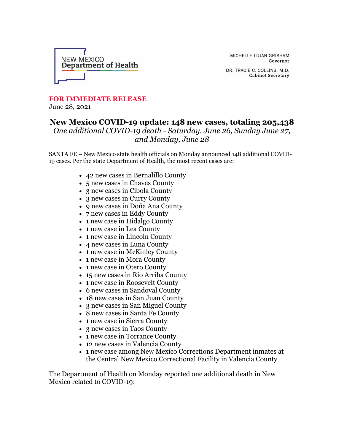

MICHELLE LUJAN GRISHAM Governor

DR. TRACIE C. COLLINS, M.D. **Cabinet Secretary** 

## **FOR IMMEDIATE RELEASE** June 28, 2021

## **New Mexico COVID-19 update: 148 new cases, totaling 205,438** *One additional COVID-19 death - Saturday, June 26, Sunday June 27, and Monday, June 28*

SANTA FE – New Mexico state health officials on Monday announced 148 additional COVID-19 cases. Per the state Department of Health, the most recent cases are:

- 42 new cases in Bernalillo County
- 5 new cases in Chaves County
- 3 new cases in Cibola County
- 3 new cases in Curry County
- 9 new cases in Doña Ana County
- 7 new cases in Eddy County
- 1 new case in Hidalgo County
- 1 new case in Lea County
- 1 new case in Lincoln County
- 4 new cases in Luna County
- 1 new case in McKinley County
- 1 new case in Mora County
- 1 new case in Otero County
- 15 new cases in Rio Arriba County
- 1 new case in Roosevelt County
- 6 new cases in Sandoval County
- 18 new cases in San Juan County
- 3 new cases in San Miguel County
- 8 new cases in Santa Fe County
- 1 new case in Sierra County
- 3 new cases in Taos County
- 1 new case in Torrance County
- 12 new cases in Valencia County
- 1 new case among New Mexico Corrections Department inmates at the Central New Mexico Correctional Facility in Valencia County

The Department of Health on Monday reported one additional death in New Mexico related to COVID-19: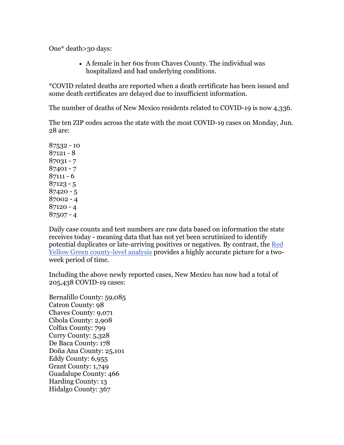One\* death>30 days:

• A female in her 60s from Chaves County. The individual was hospitalized and had underlying conditions.

\*COVID related deaths are reported when a death certificate has been issued and some death certificates are delayed due to insufficient information.

The number of deaths of New Mexico residents related to COVID-19 is now 4,336.

The ten ZIP codes across the state with the most COVID-19 cases on Monday, Jun. 28 are:

Daily case counts and test numbers are raw data based on information the state receives today - meaning data that has not yet been scrutinized to identify potential duplicates or late-arriving positives or negatives. By contrast, the [Red](https://r20.rs6.net/tn.jsp?f=001CMk3K3AT5xbF1EAiPAh4emWHbnHJZHOWRTDLSJFL0AhVTFaZIev_PZLEeXc3OYxn_447kRAF8v0JiylGi1IOrT9iFhkLd2GU8j5Rc1Ra883oRcqgVj5efeUH64ofBsEfQEprM91D9Fm3-HI8ij1KQqONGwJTqvdlBQVWBo-fsooCgEooS0QEjvhvSg3q48KU3unSzn3k3OyM7iAXkmja-tnnhVsmSvzr&c=nU4i_3tA0mbAcGE0RmKAreL0Pl4aNyvOncko-WcwGgtwy5JRnEEv2w==&ch=rt_Vd0pYbTjUiqybYK2UGTYkFlwVRxEDwQYp9l1LBX7wZInnsMgDLQ==)  [Yellow Green county-level analysis](https://r20.rs6.net/tn.jsp?f=001CMk3K3AT5xbF1EAiPAh4emWHbnHJZHOWRTDLSJFL0AhVTFaZIev_PZLEeXc3OYxn_447kRAF8v0JiylGi1IOrT9iFhkLd2GU8j5Rc1Ra883oRcqgVj5efeUH64ofBsEfQEprM91D9Fm3-HI8ij1KQqONGwJTqvdlBQVWBo-fsooCgEooS0QEjvhvSg3q48KU3unSzn3k3OyM7iAXkmja-tnnhVsmSvzr&c=nU4i_3tA0mbAcGE0RmKAreL0Pl4aNyvOncko-WcwGgtwy5JRnEEv2w==&ch=rt_Vd0pYbTjUiqybYK2UGTYkFlwVRxEDwQYp9l1LBX7wZInnsMgDLQ==) provides a highly accurate picture for a twoweek period of time.

Including the above newly reported cases, New Mexico has now had a total of 205,438 COVID-19 cases:

Bernalillo County: 59,085 Catron County: 98 Chaves County: 9,071 Cibola County: 2,908 Colfax County: 799 Curry County: 5,328 De Baca County: 178 Doña Ana County: 25,101 Eddy County: 6,955 Grant County: 1,749 Guadalupe County: 466 Harding County: 13 Hidalgo County: 367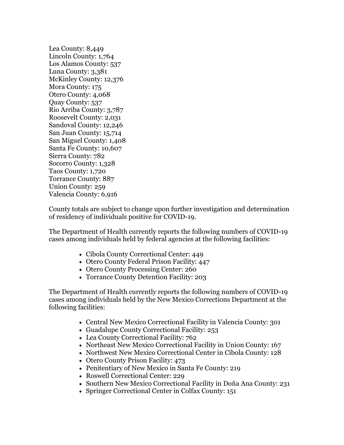Lea County: 8,449 Lincoln County: 1,764 Los Alamos County: 537 Luna County: 3,381 McKinley County: 12,376 Mora County: 175 Otero County: 4,068 Quay County: 537 Rio Arriba County: 3,787 Roosevelt County: 2,031 Sandoval County: 12,246 San Juan County: 15,714 San Miguel County: 1,408 Santa Fe County: 10,607 Sierra County: 782 Socorro County: 1,328 Taos County: 1,720 Torrance County: 887 Union County: 259 Valencia County: 6,916

County totals are subject to change upon further investigation and determination of residency of individuals positive for COVID-19.

The Department of Health currently reports the following numbers of COVID-19 cases among individuals held by federal agencies at the following facilities:

- Cibola County Correctional Center: 449
- Otero County Federal Prison Facility: 447
- Otero County Processing Center: 260
- Torrance County Detention Facility: 203

The Department of Health currently reports the following numbers of COVID-19 cases among individuals held by the New Mexico Corrections Department at the following facilities:

- Central New Mexico Correctional Facility in Valencia County: 301
- Guadalupe County Correctional Facility: 253
- Lea County Correctional Facility: 762
- Northeast New Mexico Correctional Facility in Union County: 167
- Northwest New Mexico Correctional Center in Cibola County: 128
- Otero County Prison Facility: 473
- Penitentiary of New Mexico in Santa Fe County: 219
- Roswell Correctional Center: 229
- Southern New Mexico Correctional Facility in Doña Ana County: 231
- Springer Correctional Center in Colfax County: 151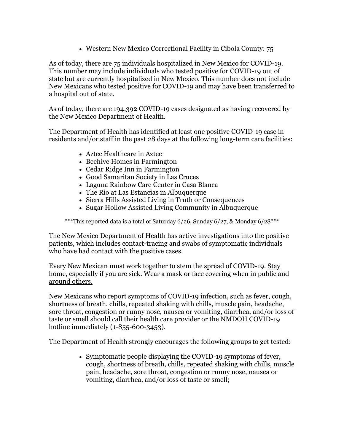• Western New Mexico Correctional Facility in Cibola County: 75

As of today, there are 75 individuals hospitalized in New Mexico for COVID-19. This number may include individuals who tested positive for COVID-19 out of state but are currently hospitalized in New Mexico. This number does not include New Mexicans who tested positive for COVID-19 and may have been transferred to a hospital out of state.

As of today, there are 194,392 COVID-19 cases designated as having recovered by the New Mexico Department of Health.

The Department of Health has identified at least one positive COVID-19 case in residents and/or staff in the past 28 days at the following long-term care facilities:

- Aztec Healthcare in Aztec
- Beehive Homes in Farmington
- Cedar Ridge Inn in Farmington
- Good Samaritan Society in Las Cruces
- Laguna Rainbow Care Center in Casa Blanca
- The Rio at Las Estancias in Albuquerque
- Sierra Hills Assisted Living in Truth or Consequences
- Sugar Hollow Assisted Living Community in Albuquerque

\*\*\*This reported data is a total of Saturday 6/26, Sunday 6/27, & Monday 6/28\*\*\*

The New Mexico Department of Health has active investigations into the positive patients, which includes contact-tracing and swabs of symptomatic individuals who have had contact with the positive cases.

Every New Mexican must work together to stem the spread of COVID-19. Stay home, especially if you are sick. Wear a mask or face covering when in public and around others.

New Mexicans who report symptoms of COVID-19 infection, such as fever, cough, shortness of breath, chills, repeated shaking with chills, muscle pain, headache, sore throat, congestion or runny nose, nausea or vomiting, diarrhea, and/or loss of taste or smell should call their health care provider or the NMDOH COVID-19 hotline immediately (1-855-600-3453).

The Department of Health strongly encourages the following groups to get tested:

• Symptomatic people displaying the COVID-19 symptoms of fever, cough, shortness of breath, chills, repeated shaking with chills, muscle pain, headache, sore throat, congestion or runny nose, nausea or vomiting, diarrhea, and/or loss of taste or smell;